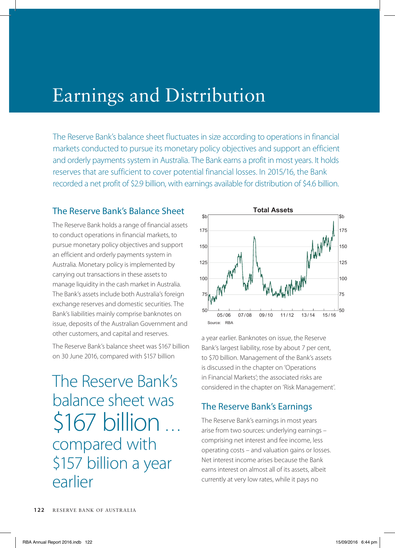## Earnings and Distribution

The Reserve Bank's balance sheet fluctuates in size according to operations in financial markets conducted to pursue its monetary policy objectives and support an efficient and orderly payments system in Australia. The Bank earns a profit in most years. It holds reserves that are sufficient to cover potential financial losses. In 2015/16, the Bank recorded a net profit of \$2.9 billion, with earnings available for distribution of \$4.6 billion.

## The Reserve Bank's Balance Sheet

The Reserve Bank holds a range of financial assets to conduct operations in financial markets, to pursue monetary policy objectives and support an efficient and orderly payments system in Australia. Monetary policy is implemented by carrying out transactions in these assets to manage liquidity in the cash market in Australia. The Bank's assets include both Australia's foreign exchange reserves and domestic securities. The Bank's liabilities mainly comprise banknotes on issue, deposits of the Australian Government and other customers, and capital and reserves.

The Reserve Bank's balance sheet was \$167 billion on 30 June 2016, compared with \$157 billion

The Reserve Bank's balance sheet was \$167 billion … compared with \$157 billion a year earlier



a year earlier. Banknotes on issue, the Reserve Bank's largest liability, rose by about 7 per cent, to \$70 billion. Management of the Bank's assets is discussed in the chapter on 'Operations in Financial Markets'; the associated risks are considered in the chapter on 'Risk Management'.

## The Reserve Bank's Earnings

The Reserve Bank's earnings in most years arise from two sources: underlying earnings – comprising net interest and fee income, less operating costs – and valuation gains or losses. Net interest income arises because the Bank earns interest on almost all of its assets, albeit currently at very low rates, while it pays no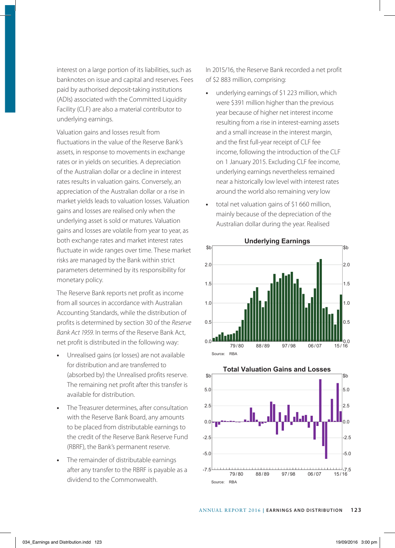interest on a large portion of its liabilities, such as banknotes on issue and capital and reserves. Fees paid by authorised deposit-taking institutions (ADIs) associated with the Committed Liquidity Facility (CLF) are also a material contributor to underlying earnings.

Valuation gains and losses result from fluctuations in the value of the Reserve Bank's assets, in response to movements in exchange rates or in yields on securities. A depreciation of the Australian dollar or a decline in interest rates results in valuation gains. Conversely, an appreciation of the Australian dollar or a rise in market yields leads to valuation losses. Valuation gains and losses are realised only when the underlying asset is sold or matures. Valuation gains and losses are volatile from year to year, as both exchange rates and market interest rates fluctuate in wide ranges over time. These market risks are managed by the Bank within strict parameters determined by its responsibility for monetary policy.

The Reserve Bank reports net profit as income from all sources in accordance with Australian Accounting Standards, while the distribution of profits is determined by section 30 of the *Reserve Bank Act 1959*. In terms of the Reserve Bank Act, net profit is distributed in the following way:

- **•** Unrealised gains (or losses) are not available for distribution and are transferred to (absorbed by) the Unrealised profits reserve. The remaining net profit after this transfer is available for distribution.
- **•** The Treasurer determines, after consultation with the Reserve Bank Board, any amounts to be placed from distributable earnings to the credit of the Reserve Bank Reserve Fund (RBRF), the Bank's permanent reserve.
- **•** The remainder of distributable earnings after any transfer to the RBRF is payable as a dividend to the Commonwealth.

In 2015/16, the Reserve Bank recorded a net profit of \$2 883 million, comprising:

- **•** underlying earnings of \$1 223 million, which were \$391 million higher than the previous year because of higher net interest income resulting from a rise in interest-earning assets and a small increase in the interest margin, and the first full-year receipt of CLF fee income, following the introduction of the CLF on 1 January 2015. Excluding CLF fee income, underlying earnings nevertheless remained near a historically low level with interest rates around the world also remaining very low
- **•** total net valuation gains of \$1 660 million, mainly because of the depreciation of the Australian dollar during the year. Realised





**Underlying Earnings**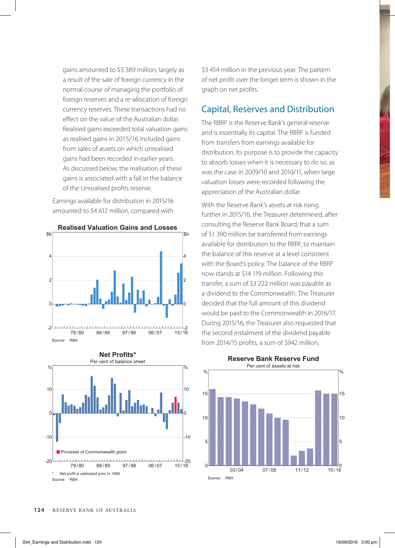gains amounted to \$3 389 million, largely as a result of the sale of foreign currency in the normal course of managing the portfolio of foreign reserves and a re-allocation of foreign currency reserves. These transactions had no effect on the value of the Australian dollar. Realised gains exceeded total valuation gains as realised gains in 2015/16 included gains from sales of assets on which unrealised gains had been recorded in earlier years. As discussed below, the realisation of these gains is associated with a fall in the balance of the Unrealised profits reserve.

Earnings available for distribution in 2015/16 amounted to \$4 612 million, compared with





**Realised Valuation Gains and Losses**

\$3 454 million in the previous year. The pattern of net profit over the longer term is shown in the graph on net profits.

## Capital, Reserves and Distribution

The RBRF is the Reserve Bank's general reserve and is essentially its capital. The RBRF is funded from transfers from earnings available for distribution. Its purpose is to provide the capacity to absorb losses when it is necessary to do so, as was the case in 2009/10 and 2010/11, when large valuation losses were recorded following the appreciation of the Australian dollar.

With the Reserve Bank's assets at risk rising further in 2015/16, the Treasurer determined, after consulting the Reserve Bank Board, that a sum of \$1 390 million be transferred from earnings available for distribution to the RBRF, to maintain the balance of this reserve at a level consistent with the Board's policy. The balance of the RBRF now stands at \$14 119 million. Following this transfer, a sum of \$3 222 million was payable as a dividend to the Commonwealth. The Treasurer decided that the full amount of this dividend would be paid to the Commonwealth in 2016/17. During 2015/16, the Treasurer also requested that the second instalment of the dividend payable from 2014/15 profits, a sum of \$942 million,



**Reserve Bank Reserve Fund**

Source: RBA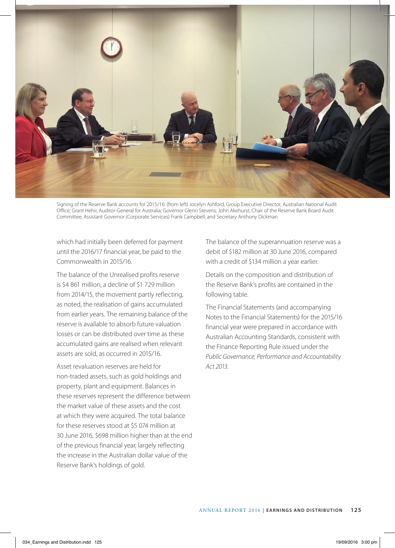

Signing of the Reserve Bank accounts for 2015/16: (from left) Jocelyn Ashford, Group Executive Director, Australian National Audit Office; Grant Hehir, Auditor-General for Australia; Governor Glenn Stevens; John Akehurst, Chair of the Reserve Bank Board Audit Committee; Assistant Governor (Corporate Services) Frank Campbell; and Secretary Anthony Dickman

which had initially been deferred for payment until the 2016/17 financial year, be paid to the Commonwealth in 2015/16.

The balance of the Unrealised profits reserve is \$4 861 million, a decline of \$1 729 million from 2014/15, the movement partly reflecting, as noted, the realisation of gains accumulated from earlier years. The remaining balance of the reserve is available to absorb future valuation losses or can be distributed over time as these accumulated gains are realised when relevant assets are sold, as occurred in 2015/16.

Asset revaluation reserves are held for non-traded assets, such as gold holdings and property, plant and equipment. Balances in these reserves represent the difference between the market value of these assets and the cost at which they were acquired. The total balance for these reserves stood at \$5 074 million at 30 June 2016, \$698 million higher than at the end of the previous financial year, largely reflecting the increase in the Australian dollar value of the Reserve Bank's holdings of gold.

The balance of the superannuation reserve was a debit of \$182 million at 30 June 2016, compared with a credit of \$134 million a year earlier.

Details on the composition and distribution of the Reserve Bank's profits are contained in the following table.

The Financial Statements (and accompanying Notes to the Financial Statements) for the 2015/16 financial year were prepared in accordance with Australian Accounting Standards, consistent with the Finance Reporting Rule issued under the *Public Governance, Performance and Accountability Act 2013*.